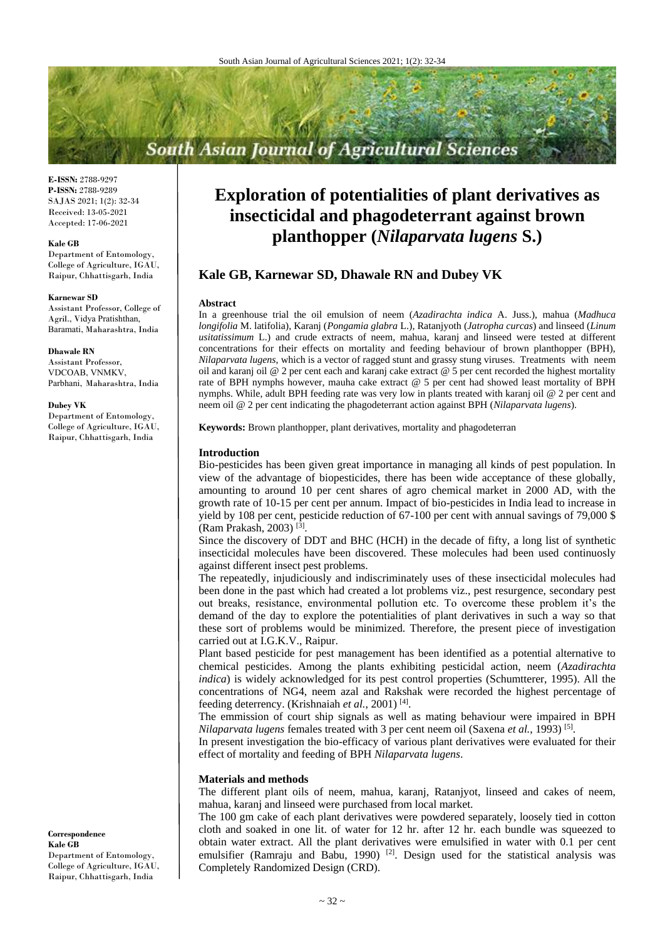# **South Asian Journal of Agricultural Sciences**

**E-ISSN:** 2788-9297 **P-ISSN:** 2788-9289 SAJAS 2021; 1(2): 32-34 Received: 13-05-2021 Accepted: 17-06-2021

#### **Kale GB**

Department of Entomology, College of Agriculture, IGAU, Raipur, Chhattisgarh, India

#### **Karnewar SD**

Assistant Professor, College of Agril., Vidya Pratishthan, Baramati, Maharashtra, India

**Dhawale RN** Assistant Professor, VDCOAB, VNMKV, Parbhani, Maharashtra, India

### **Dubey VK**

Department of Entomology, College of Agriculture, IGAU, Raipur, Chhattisgarh, India

**Correspondence Kale GB**

Department of Entomology, College of Agriculture, IGAU, Raipur, Chhattisgarh, India

## **Exploration of potentialities of plant derivatives as insecticidal and phagodeterrant against brown planthopper (***Nilaparvata lugens* **S.)**

## **Kale GB, Karnewar SD, Dhawale RN and Dubey VK**

#### **Abstract**

In a greenhouse trial the oil emulsion of neem (*Azadirachta indica* A. Juss.), mahua (*Madhuca longifolia* M. latifolia), Karanj (*Pongamia glabra* L.), Ratanjyoth (*Jatropha curcas*) and linseed (*Linum usitatissimum* L.) and crude extracts of neem, mahua, karanj and linseed were tested at different concentrations for their effects on mortality and feeding behaviour of brown planthopper (BPH), *Nilaparvata lugens*, which is a vector of ragged stunt and grassy stung viruses. Treatments with neem oil and karanj oil @ 2 per cent each and karanj cake extract @ 5 per cent recorded the highest mortality rate of BPH nymphs however, mauha cake extract @ 5 per cent had showed least mortality of BPH nymphs. While, adult BPH feeding rate was very low in plants treated with karanj oil @ 2 per cent and neem oil @ 2 per cent indicating the phagodeterrant action against BPH (*Nilaparvata lugens*).

**Keywords:** Brown planthopper, plant derivatives, mortality and phagodeterran

#### **Introduction**

Bio-pesticides has been given great importance in managing all kinds of pest population. In view of the advantage of biopesticides, there has been wide acceptance of these globally, amounting to around 10 per cent shares of agro chemical market in 2000 AD, with the growth rate of 10-15 per cent per annum. Impact of bio-pesticides in India lead to increase in yield by 108 per cent, pesticide reduction of 67-100 per cent with annual savings of 79,000 \$ (Ram Prakash, 2003) [3] .

Since the discovery of DDT and BHC (HCH) in the decade of fifty, a long list of synthetic insecticidal molecules have been discovered. These molecules had been used continuosly against different insect pest problems.

The repeatedly, injudiciously and indiscriminately uses of these insecticidal molecules had been done in the past which had created a lot problems viz., pest resurgence, secondary pest out breaks, resistance, environmental pollution etc. To overcome these problem it's the demand of the day to explore the potentialities of plant derivatives in such a way so that these sort of problems would be minimized. Therefore, the present piece of investigation carried out at I.G.K.V., Raipur.

Plant based pesticide for pest management has been identified as a potential alternative to chemical pesticides. Among the plants exhibiting pesticidal action, neem (*Azadirachta indica*) is widely acknowledged for its pest control properties (Schumtterer, 1995). All the concentrations of NG4, neem azal and Rakshak were recorded the highest percentage of feeding deterrency. (Krishnaiah et al., 2001)<sup>[4]</sup>.

The emmission of court ship signals as well as mating behaviour were impaired in BPH *Nilaparvata lugens* females treated with 3 per cent neem oil (Saxena *et al.*, 1993)<sup>[5]</sup>.

In present investigation the bio-efficacy of various plant derivatives were evaluated for their effect of mortality and feeding of BPH *Nilaparvata lugens*.

#### **Materials and methods**

The different plant oils of neem, mahua, karanj, Ratanjyot, linseed and cakes of neem, mahua, karanj and linseed were purchased from local market.

The 100 gm cake of each plant derivatives were powdered separately, loosely tied in cotton cloth and soaked in one lit. of water for 12 hr. after 12 hr. each bundle was squeezed to obtain water extract. All the plant derivatives were emulsified in water with 0.1 per cent emulsifier (Ramraju and Babu, 1990)<sup>[2]</sup>. Design used for the statistical analysis was Completely Randomized Design (CRD).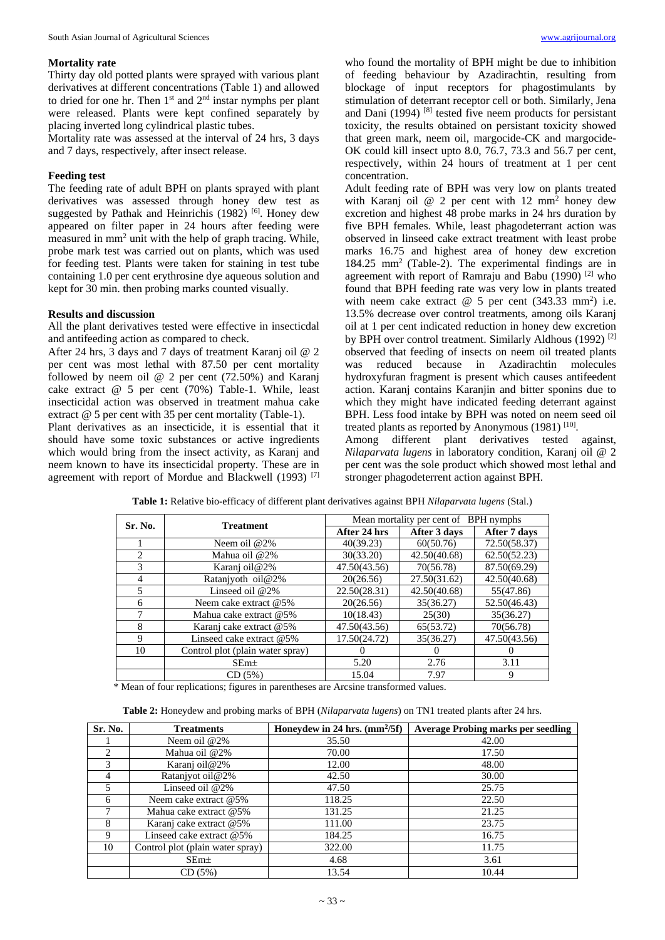### **Mortality rate**

Thirty day old potted plants were sprayed with various plant derivatives at different concentrations (Table 1) and allowed to dried for one hr. Then  $1<sup>st</sup>$  and  $2<sup>nd</sup>$  instar nymphs per plant were released. Plants were kept confined separately by placing inverted long cylindrical plastic tubes.

Mortality rate was assessed at the interval of 24 hrs, 3 days and 7 days, respectively, after insect release.

## **Feeding test**

The feeding rate of adult BPH on plants sprayed with plant derivatives was assessed through honey dew test as suggested by Pathak and Heinrichis (1982)<sup>[6]</sup>. Honey dew appeared on filter paper in 24 hours after feeding were measured in mm<sup>2</sup> unit with the help of graph tracing. While, probe mark test was carried out on plants, which was used for feeding test. Plants were taken for staining in test tube containing 1.0 per cent erythrosine dye aqueous solution and kept for 30 min. then probing marks counted visually.

## **Results and discussion**

All the plant derivatives tested were effective in insecticdal and antifeeding action as compared to check.

After 24 hrs, 3 days and 7 days of treatment Karanj oil @ 2 per cent was most lethal with 87.50 per cent mortality followed by neem oil @ 2 per cent (72.50%) and Karanj cake extract @ 5 per cent (70%) Table-1. While, least insecticidal action was observed in treatment mahua cake extract @ 5 per cent with 35 per cent mortality (Table-1).

Plant derivatives as an insecticide, it is essential that it should have some toxic substances or active ingredients which would bring from the insect activity, as Karanj and neem known to have its insecticidal property. These are in agreement with report of Mordue and Blackwell (1993)<sup>[7]</sup>

who found the mortality of BPH might be due to inhibition of feeding behaviour by Azadirachtin, resulting from blockage of input receptors for phagostimulants by stimulation of deterrant receptor cell or both. Similarly, Jena and Dani (1994)<sup>[8]</sup> tested five neem products for persistant toxicity, the results obtained on persistant toxicity showed that green mark, neem oil, margocide-CK and margocide-OK could kill insect upto 8.0, 76.7, 73.3 and 56.7 per cent, respectively, within 24 hours of treatment at 1 per cent concentration.

Adult feeding rate of BPH was very low on plants treated with Karanj oil  $@$  2 per cent with 12 mm<sup>2</sup> honey dew excretion and highest 48 probe marks in 24 hrs duration by five BPH females. While, least phagodeterrant action was observed in linseed cake extract treatment with least probe marks 16.75 and highest area of honey dew excretion 184.25 mm<sup>2</sup> (Table-2). The experimental findings are in agreement with report of Ramraju and Babu (1990)  $^{[2]}$  who found that BPH feeding rate was very low in plants treated with neem cake extract  $\omega$  5 per cent (343.33 mm<sup>2</sup>) i.e. 13.5% decrease over control treatments, among oils Karanj oil at 1 per cent indicated reduction in honey dew excretion by BPH over control treatment. Similarly Aldhous (1992)<sup>[2]</sup> observed that feeding of insects on neem oil treated plants was reduced because in Azadirachtin molecules hydroxyfuran fragment is present which causes antifeedent action. Karanj contains Karanjin and bitter sponins due to which they might have indicated feeding deterrant against BPH. Less food intake by BPH was noted on neem seed oil treated plants as reported by Anonymous  $(1981)$ <sup>[10]</sup>.

Among different plant derivatives tested against, *Nilaparvata lugens* in laboratory condition, Karanj oil @ 2 per cent was the sole product which showed most lethal and stronger phagodeterrent action against BPH.

| Sr. No.                     | <b>Treatment</b>                 | Mean mortality per cent of BPH nymphs |              |              |
|-----------------------------|----------------------------------|---------------------------------------|--------------|--------------|
|                             |                                  | After 24 hrs                          | After 3 days | After 7 days |
|                             | Neem oil $@2\%$                  | 40(39.23)                             | 60(50.76)    | 72.50(58.37) |
| $\mathcal{D}_{\mathcal{L}}$ | Mahua oil @2%                    | 30(33.20)                             | 42.50(40.68) | 62.50(52.23) |
| 3                           | Karanj oil@2%                    | 47.50(43.56)                          | 70(56.78)    | 87.50(69.29) |
| 4                           | Ratanjyoth oil@2%                | 20(26.56)                             | 27.50(31.62) | 42.50(40.68) |
| 5                           | Linseed oil $@2\%$               | 22.50(28.31)                          | 42.50(40.68) | 55(47.86)    |
| 6                           | Neem cake extract @5%            | 20(26.56)                             | 35(36.27)    | 52.50(46.43) |
| 7                           | Mahua cake extract @5%           | 10(18.43)                             | 25(30)       | 35(36.27)    |
| 8                           | Karanj cake extract @5%          | 47.50(43.56)                          | 65(53.72)    | 70(56.78)    |
| 9                           | Linseed cake extract $@5\%$      | 17.50(24.72)                          | 35(36.27)    | 47.50(43.56) |
| 10                          | Control plot (plain water spray) |                                       |              |              |
|                             | $SEm\pm$                         | 5.20                                  | 2.76         | 3.11         |
|                             | CD(5%)                           | 15.04                                 | 7.97         | 9            |

**Table 1:** Relative bio-efficacy of different plant derivatives against BPH *Nilaparvata lugens* (Stal.)

\* Mean of four replications; figures in parentheses are Arcsine transformed values.

**Table 2:** Honeydew and probing marks of BPH (*Nilaparvata lugens*) on TN1 treated plants after 24 hrs.

| Sr. No.                       | <b>Treatments</b>                | Honeydew in 24 hrs. $\frac{mm^2}{5f}$ | <b>Average Probing marks per seedling</b> |
|-------------------------------|----------------------------------|---------------------------------------|-------------------------------------------|
|                               | Neem oil $@2\%$                  | 35.50                                 | 42.00                                     |
| $\mathfrak{D}_{\mathfrak{p}}$ | Mahua oil @2%                    | 70.00                                 | 17.50                                     |
| 3                             | Karanj oil@2%                    | 12.00                                 | 48.00                                     |
| 4                             | Ratanjyot oil@2%                 | 42.50                                 | 30.00                                     |
| 5                             | Linseed oil $@2\%$               | 47.50                                 | 25.75                                     |
| 6                             | Neem cake extract $@5\%$         | 118.25                                | 22.50                                     |
| ⇁                             | Mahua cake extract @5%           | 131.25                                | 21.25                                     |
| 8                             | Karanj cake extract @5%          | 111.00                                | 23.75                                     |
| 9                             | Linseed cake extract @5%         | 184.25                                | 16.75                                     |
| 10                            | Control plot (plain water spray) | 322.00                                | 11.75                                     |
|                               | SEm <sub>±</sub>                 | 4.68                                  | 3.61                                      |
|                               | CD(5%)                           | 13.54                                 | 10.44                                     |